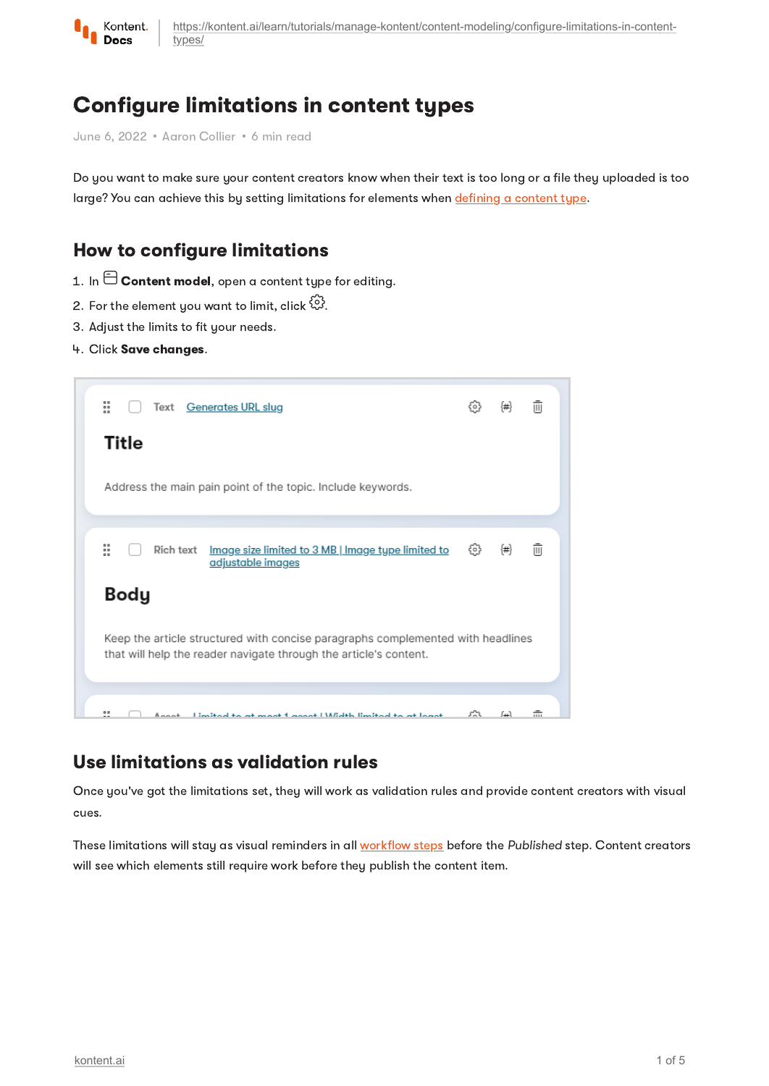

[https://kontent.ai/learn/tutorials/manage-kontent/content-modeling/configure-limitations-in-content](https://kontent.ai/learn/tutorials/manage-kontent/content-modeling/configure-limitations-in-content-types/)types/

# Configure limitations in content types

June 6, 2022 • Aaron Collier • 6 min read

Do you want to make sure your content creators know when their text is too long or a file they uploaded is too large? You can achieve this by setting limitations for elements when [defining](https://kontent.ai/learn/tutorials/manage-kontent/content-modeling/create-and-delete-content-types/) a content type.

## How to configure limitations

- 1. In  $\boxminus$  Content model, open a content tupe for editing.
- 2. For the element you want to limit, click  $\overset{\leftrightarrow}{\omega}$ .
- 3. Adjust the limits to fit your needs.
- 4. Click Save changes.



### Use limitations as validation rules

Once you've got the limitations set, they will work as validation rules and provide content creators with visual cues.

These limitations will stay as visual reminders in all [workflow](https://kontent.ai/learn/tutorials/manage-kontent/roles-and-workflow/manage-workflows/) steps before the Published step. Content creators will see which elements still require work before they publish the content item.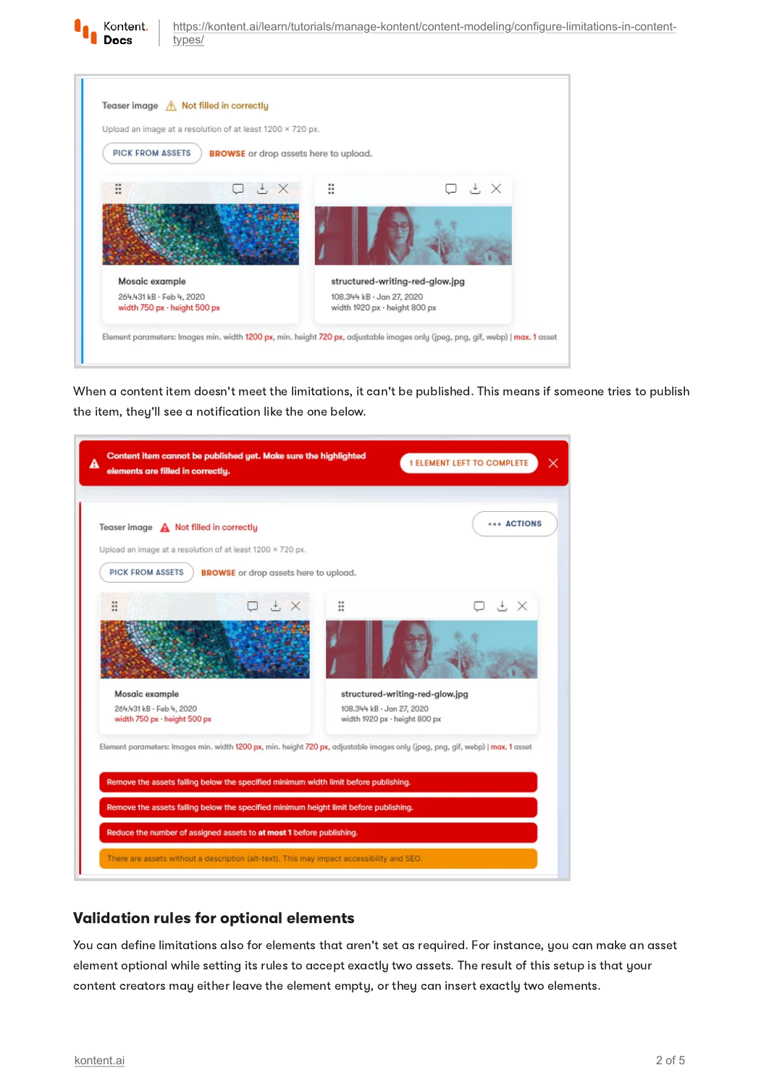

[https://kontent.ai/learn/tutorials/manage-kontent/content-modeling/configure-limitations-in-content](https://kontent.ai/learn/tutorials/manage-kontent/content-modeling/configure-limitations-in-content-types/)types/

| Upload an image at a resolution of at least 1200 x 720 px. |                                              |                                                            |     |  |
|------------------------------------------------------------|----------------------------------------------|------------------------------------------------------------|-----|--|
| <b>PICK FROM ASSETS</b>                                    | <b>BROWSE</b> or drop assets here to upload. |                                                            |     |  |
| $= 5$<br>$\cdot$ $\times$<br>$\bullet\bullet$<br>$\bullet$ | 0.0<br>₩.                                    |                                                            | コヒメ |  |
|                                                            |                                              |                                                            |     |  |
|                                                            |                                              |                                                            |     |  |
|                                                            |                                              |                                                            |     |  |
| Mosaic example                                             |                                              | structured-writing-red-glow.jpg                            |     |  |
| 264.431 kB · Feb 4, 2020<br>width 750 px - height 500 px   |                                              | 108.344 kB · Jan 27, 2020<br>width 1920 px - height 800 px |     |  |

When a content item doesn't meet the limitations, it can't be published. This means if someone tries to publish the item, they'll see a notification like the one below.

| Teaser image $\bigwedge$ Not filled in correctly         |                                                                                                                                 |                                                            | <b>*** ACTIONS</b> |
|----------------------------------------------------------|---------------------------------------------------------------------------------------------------------------------------------|------------------------------------------------------------|--------------------|
|                                                          | Upload an image at a resolution of at least 1200 x 720 px.                                                                      |                                                            |                    |
| <b>PICK FROM ASSETS</b>                                  | <b>BROWSE</b> or drop assets here to upload.                                                                                    |                                                            |                    |
| $\ddot{\ddot{\bf s}}$                                    | $\Box$ $\cdot$ $\times$                                                                                                         | ።                                                          | コヒ×                |
|                                                          |                                                                                                                                 |                                                            |                    |
| Mosaic example                                           |                                                                                                                                 | structured-writing-red-glow.jpg                            |                    |
| 264.431 kB - Feb 4, 2020<br>width 750 px - height 500 px |                                                                                                                                 | 108.344 kB · Jan 27, 2020<br>width 1920 px - height 800 px |                    |
|                                                          | Element parameters: Images min. width 1200 px, min. height 720 px, adjustable images only (jpeg, png, gif, webp)   max. 1 asset |                                                            |                    |
|                                                          | Remove the assets falling below the specified minimum width limit before publishing.                                            |                                                            |                    |
|                                                          |                                                                                                                                 |                                                            |                    |

#### Validation rules for optional elements

You can define limitations also for elements that aren't set as required. For instance, you can make an asset element optional while setting its rules to accept exactly two assets. The result of this setup is that your content creators may either leave the element empty, or they can insert exactly two elements.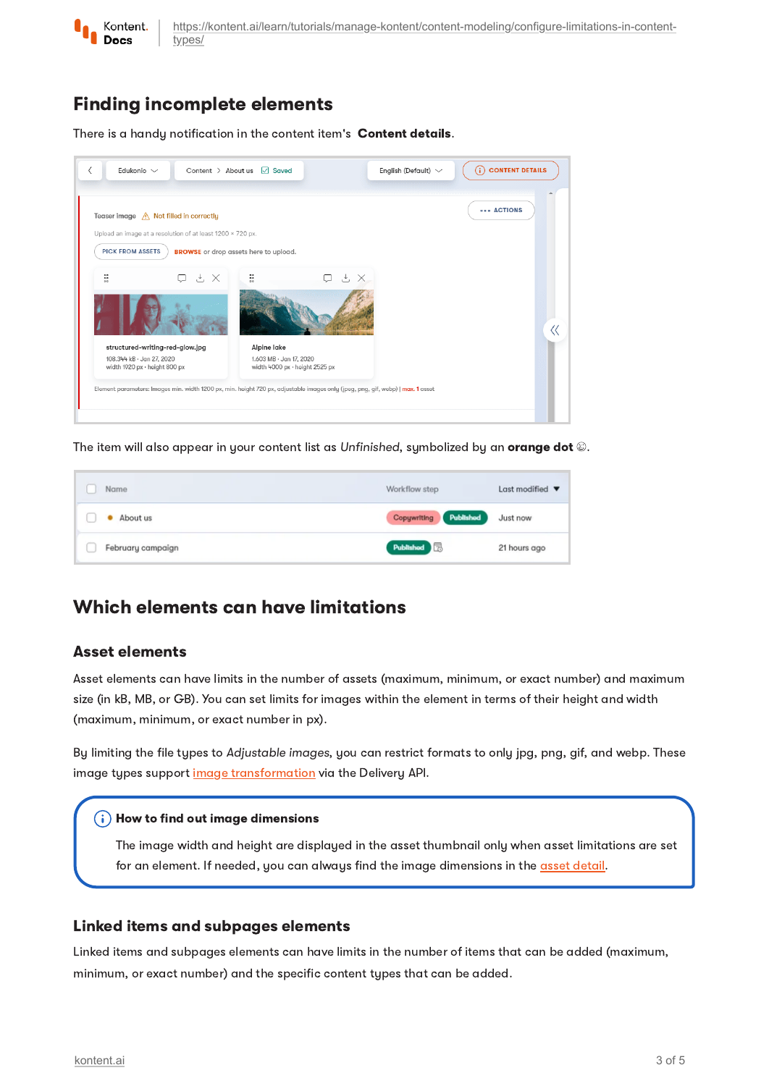

# Finding incomplete elements

There is a handy notification in the content item's Content details.



The item will also appear in your content list as Unfinished, symbolized by an orange dot ...

| Name              | Workflow step         | Last modified $\blacktriangledown$ |  |
|-------------------|-----------------------|------------------------------------|--|
| • About us        | Copywriting Published | Just now                           |  |
| February campaign | Published <b>Fo</b>   | 21 hours ago                       |  |

## Which elements can have limitations

#### Asset elements

Asset elements can have limits in the number of assets (maximum, minimum, or exact number) and maximum size (in kB, MB, or GB). You can set limits for images within the element in terms of their height and width (maximum, minimum, or exact number in px).

By limiting the file types to Adjustable images, you can restrict formats to only jpg, png, gif, and webp. These image types support image [transformation](https://kontent.ai/learn/tutorials/develop-apps/optimize-your-app/image-optimization/) via the Delivery API.

#### $(i)$  How to find out image dimensions

The image width and height are displayed in the asset thumbnail only when asset limitations are set for an element. If needed, you can always find the image dimensions in the asset [detail](https://kontent.ai/learn/tutorials/write-and-collaborate/create-content/asset-library-overview/).

#### Linked items and subpages elements

Linked items and subpages elements can have limits in the number of items that can be added (maximum, minimum, or exact number) and the specific content types that can be added.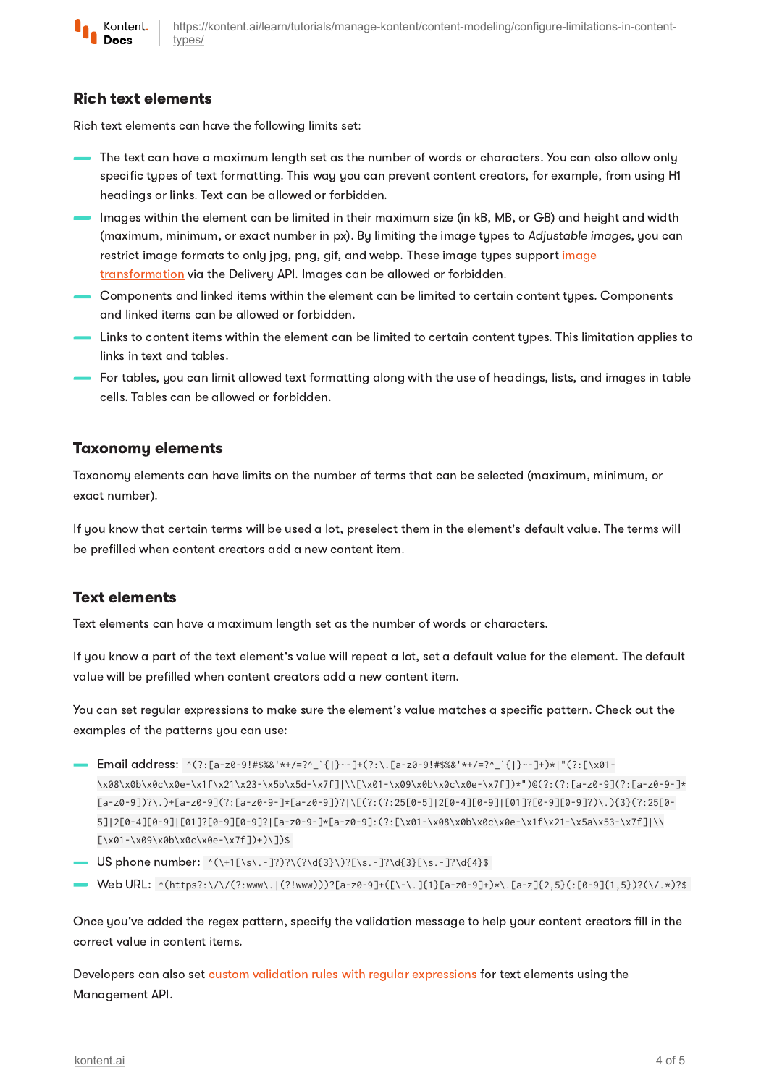

#### Rich text elements

Rich text elements can have the following limits set:

- The text can have a maximum length set as the number of words or characters. You can also allow only specific types of text formatting. This way you can prevent content creators, for example, from using H1 headings or links. Text can be allowed or forbidden.
- Images within the element can be limited in their maximum size (in kB, MB, or GB) and height and width (maximum, minimum, or exact number in px). By limiting the image types to Adjustable images, you can restrict image formats to only jpg, png, gif, and webp. These image types support image [transformation](https://kontent.ai/learn/tutorials/develop-apps/optimize-your-app/image-optimization/) via the Delivery API. Images can be allowed or forbidden.
- Components and linked items within the element can be limited to certain content types. Components and linked items can be allowed or forbidden.
- Links to content items within the element can be limited to certain content types. This limitation applies to links in text and tables.
- For tables, you can limit allowed text formatting along with the use of headings, lists, and images in table cells. Tables can be allowed or forbidden.

#### Taxonomy elements

Taxonomy elements can have limits on the number of terms that can be selected (maximum, minimum, or exact number).

If you know that certain terms will be used a lot, preselect them in the element's default value. The terms will be prefilled when content creators add a new content item.

#### <span id="page-3-0"></span>Text elements

Text elements can have a maximum length set as the number of words or characters.

If you know a part of the text element's value will repeat a lot, set a default value for the element. The default value will be prefilled when content creators add a new content item.

You can set regular expressions to make sure the element's value matches a specific pattern. Check out the examples of the patterns you can use:

- Email address: ^(?:[a-z0-9!#\$%&'\*+/=?^\_`{|}~-]+(?:\.[a-z0-9!#\$%&'\*+/=?^\_`{|}~-]+)\*|"(?:[\x01- \x08\x0b\x0c\x0e-\x1f\x21\x23-\x5b\x5d-\x7f]|\\[\x01-\x09\x0b\x0c\x0e-\x7f])\*")@(?:(?:[a-z0-9](?:[a-z0-9-]\* [a-z0-9])?\.)+[a-z0-9](?:[a-z0-9-]\*[a-z0-9])?|\[(?:(?:25[0-5]|2[0-4][0-9]|[01]?[0-9][0-9]?)\.){3}(?:25[0- 5]|2[0-4][0-9]|[01]?[0-9][0-9]?|[a-z0-9-]\*[a-z0-9]:(?:[\x01-\x08\x0b\x0c\x0e-\x1f\x21-\x5a\x53-\x7f]|\\ [\x01-\x09\x0b\x0c\x0e-\x7f])+)\])\$
- US phone number: ^(\+1[\s\.-]?)?\(?\d{3}\)?[\s.-]?\d{3}[\s.-]?\d{4}\$
- Web URL: ^(https?:\/\/(?:www\.|(?!www)))?[a-z0-9]+([\-\.]{1}[a-z0-9]+)\*\.[a-z]{2,5}(:[0-9]{1,5})?(\/.\*)?\$

Once you've added the regex pattern, specify the validation message to help your content creators fill in the correct value in content items.

Developers can also set custom validation rules with regular [expressions](https://kontent.ai/learn/reference/management-api-v2/#section/Text-type-element) for text elements using the Management API.